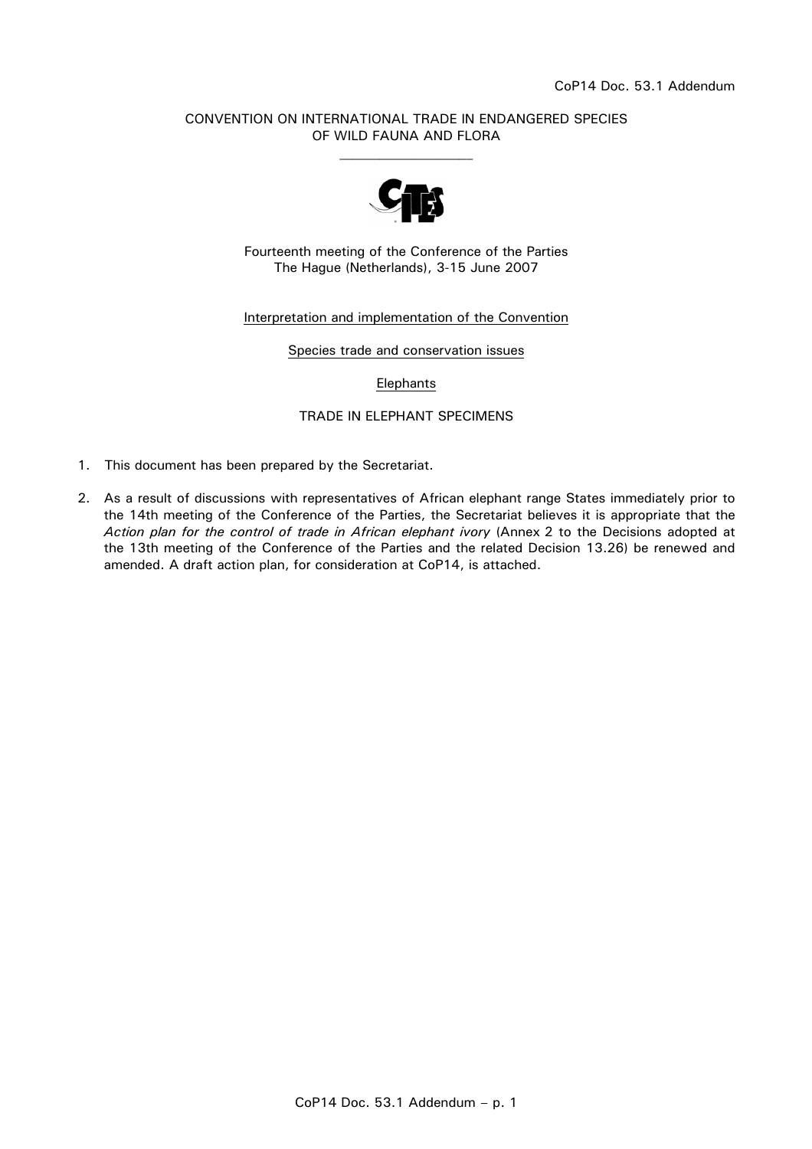# CONVENTION ON INTERNATIONAL TRADE IN ENDANGERED SPECIES OF WILD FAUNA AND FLORA  $\mathcal{L}_\text{max}$



Fourteenth meeting of the Conference of the Parties The Hague (Netherlands), 3-15 June 2007

# Interpretation and implementation of the Convention

Species trade and conservation issues

#### Elephants

### TRADE IN ELEPHANT SPECIMENS

- 1. This document has been prepared by the Secretariat.
- 2. As a result of discussions with representatives of African elephant range States immediately prior to the 14th meeting of the Conference of the Parties, the Secretariat believes it is appropriate that the *Action plan for the control of trade in African elephant ivory* (Annex 2 to the Decisions adopted at the 13th meeting of the Conference of the Parties and the related Decision 13.26) be renewed and amended. A draft action plan, for consideration at CoP14, is attached.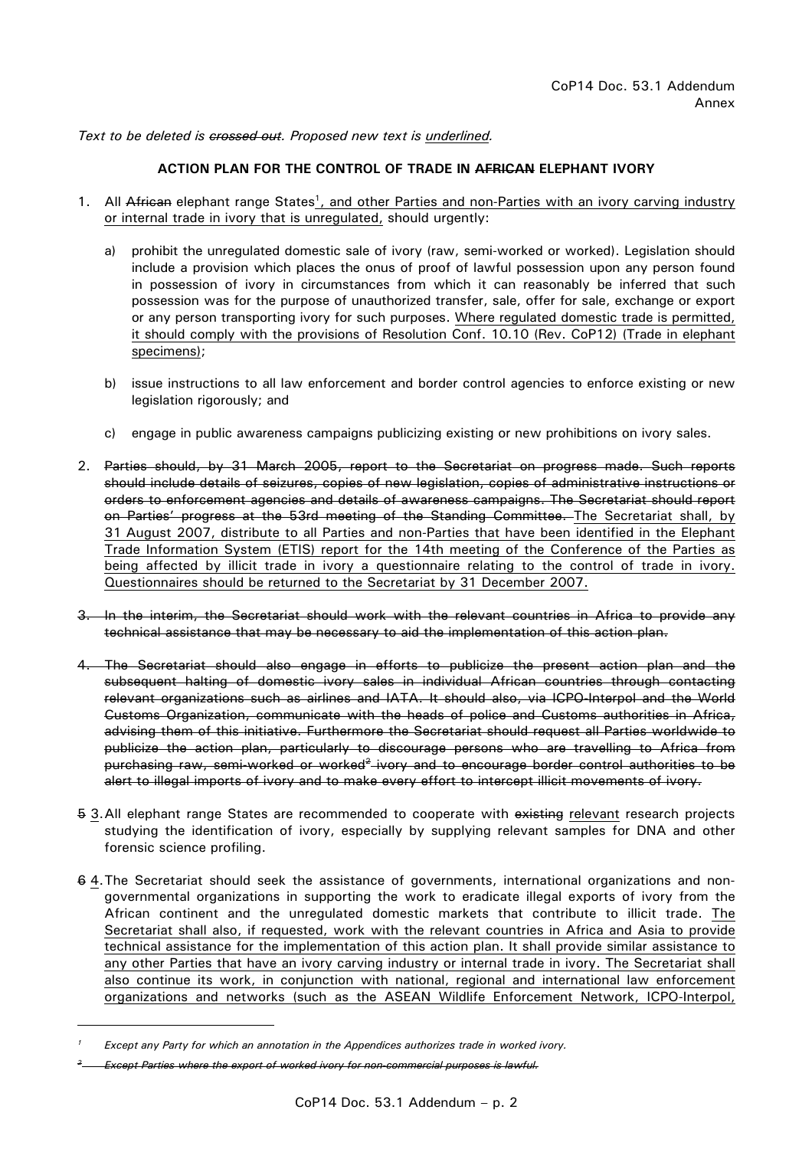Text to be deleted is crossed out. Proposed new text is underlined.

# **ACTION PLAN FOR THE CONTROL OF TRADE IN AFRICAN ELEPHANT IVORY**

- 1. All African elephant range States<sup>1</sup>, and other Parties and non-Parties with an ivory carving industry or internal trade in ivory that is unregulated, should urgently:
	- a) prohibit the unregulated domestic sale of ivory (raw, semi-worked or worked). Legislation should include a provision which places the onus of proof of lawful possession upon any person found in possession of ivory in circumstances from which it can reasonably be inferred that such possession was for the purpose of unauthorized transfer, sale, offer for sale, exchange or export or any person transporting ivory for such purposes. Where regulated domestic trade is permitted, it should comply with the provisions of Resolution Conf. 10.10 (Rev. CoP12) (Trade in elephant specimens);
	- b) issue instructions to all law enforcement and border control agencies to enforce existing or new legislation rigorously; and
	- c) engage in public awareness campaigns publicizing existing or new prohibitions on ivory sales.
- 2. Parties should, by 31 March 2005, report to the Secretariat on progress made. Such reports should include details of seizures, copies of new legislation, copies of administrative instructions or orders to enforcement agencies and details of awareness campaigns. The Secretariat should report on Parties' progress at the 53rd meeting of the Standing Committee. The Secretariat shall, by 31 August 2007, distribute to all Parties and non-Parties that have been identified in the Elephant Trade Information System (ETIS) report for the 14th meeting of the Conference of the Parties as being affected by illicit trade in ivory a questionnaire relating to the control of trade in ivory. Questionnaires should be returned to the Secretariat by 31 December 2007.
- 3. In the interim, the Secretariat should work with the relevant countries in Africa to provide any technical assistance that may be necessary to aid the implementation of this action plan.
- 4. The Secretariat should also engage in efforts to publicize the present action plan and the subsequent halting of domestic ivory sales in individual African countries through contacting relevant organizations such as airlines and IATA. It should also, via ICPO-Interpol and the World Customs Organization, communicate with the heads of police and Customs authorities in Africa, advising them of this initiative. Furthermore the Secretariat should request all Parties worldwide to publicize the action plan, particularly to discourage persons who are travelling to Africa from purchasing raw, semi-worked or worked<sup>2</sup> ivory and to encourage border control authorities to be alert to illegal imports of ivory and to make every effort to intercept illicit movements of ivory.
- 5 3. All elephant range States are recommended to cooperate with existing relevant research projects studying the identification of ivory, especially by supplying relevant samples for DNA and other forensic science profiling.
- 6 4. The Secretariat should seek the assistance of governments, international organizations and nongovernmental organizations in supporting the work to eradicate illegal exports of ivory from the African continent and the unregulated domestic markets that contribute to illicit trade. The Secretariat shall also, if requested, work with the relevant countries in Africa and Asia to provide technical assistance for the implementation of this action plan. It shall provide similar assistance to any other Parties that have an ivory carving industry or internal trade in ivory. The Secretariat shall also continue its work, in conjunction with national, regional and international law enforcement organizations and networks (such as the ASEAN Wildlife Enforcement Network, ICPO-Interpol,

 $\overline{a}$ 

*<sup>1</sup> Except any Party for which an annotation in the Appendices authorizes trade in worked ivory.* 

*<sup>2</sup> Except Parties where the export of worked ivory for non-commercial purposes is lawful.*